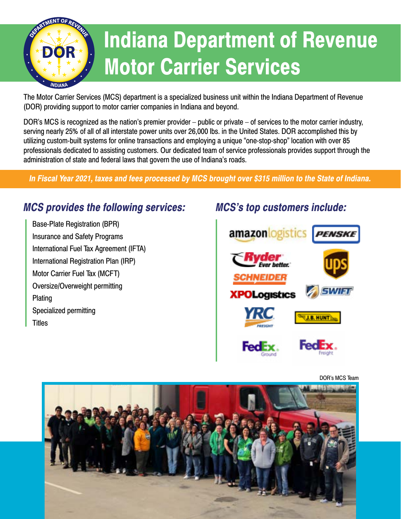

# **Indiana Department of Revenue Motor Carrier Services**

The Motor Carrier Services (MCS) department is a specialized business unit within the Indiana Department of Revenue (DOR) providing support to motor carrier companies in Indiana and beyond.

DOR's MCS is recognized as the nation's premier provider – public or private – of services to the motor carrier industry, serving nearly 25% of all of all interstate power units over 26,000 lbs. in the United States. DOR accomplished this by utilizing custom-built systems for online transactions and employing a unique "one-stop-shop" location with over 85 professionals dedicated to assisting customers. Our dedicated team of service professionals provides support through the administration of state and federal laws that govern the use of Indiana's roads.

#### **In Fiscal Year 2021, taxes and fees processed by MCS brought over \$315 million to the State of Indiana.**

### **MCS provides the following services: MCS's top customers include:**

Base-Plate Registration (BPR) Insurance and Safety Programs International Fuel Tax Agreement (IFTA) International Registration Plan (IRP) Motor Carrier Fuel Tax (MCFT) Oversize/Overweight permitting Plating Specialized permitting **Titles** 



DOR's MCS Team

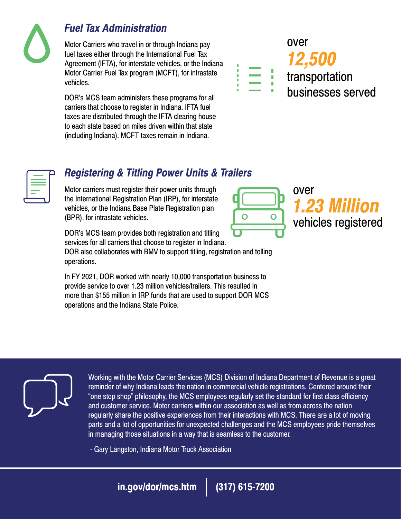

#### **Fuel Tax Administration**

Motor Carriers who travel in or through Indiana pay fuel taxes either through the International Fuel Tax Agreement (IFTA), for interstate vehicles, or the Indiana Motor Carrier Fuel Tax program (MCFT), for intrastate vehicles.

DOR's MCS team administers these programs for all carriers that choose to register in Indiana. IFTA fuel taxes are distributed through the IFTA clearing house to each state based on miles driven within that state (including Indiana). MCFT taxes remain in Indiana.

| ī |   |
|---|---|
| Ξ |   |
| Ī |   |
| T | ۰ |
| Ī |   |
|   |   |

over **12,500**  transportation businesses served



#### **Registering & Titling Power Units & Trailers**

Motor carriers must register their power units through  $\overline{OVEV}$ the International Registration Plan (IRP), for interstate vehicles, or the Indiana Base Plate Registration plan<br>
(BPR), for intrastate vehicles.

DOR's MCS team provides both registration and titling services for all carriers that choose to register in Indiana.

DOR also collaborates with BMV to support titling, registration and tolling operations.

In FY 2021, DOR worked with nearly 10,000 transportation business to provide service to over 1.23 million vehicles/trailers. This resulted in more than \$155 million in IRP funds that are used to support DOR MCS operations and the Indiana State Police.



vehicles registered



Working with the Motor Carrier Services (MCS) Division of Indiana Department of Revenue is a great reminder of why Indiana leads the nation in commercial vehicle registrations. Centered around their "one stop shop" philosophy, the MCS employees regularly set the standard for first class efficiency and customer service. Motor carriers within our association as well as from across the nation regularly share the positive experiences from their interactions with MCS. There are a lot of moving parts and a lot of opportunities for unexpected challenges and the MCS employees pride themselves in managing those situations in a way that is seamless to the customer.

- Gary Langston, Indiana Motor Truck Association